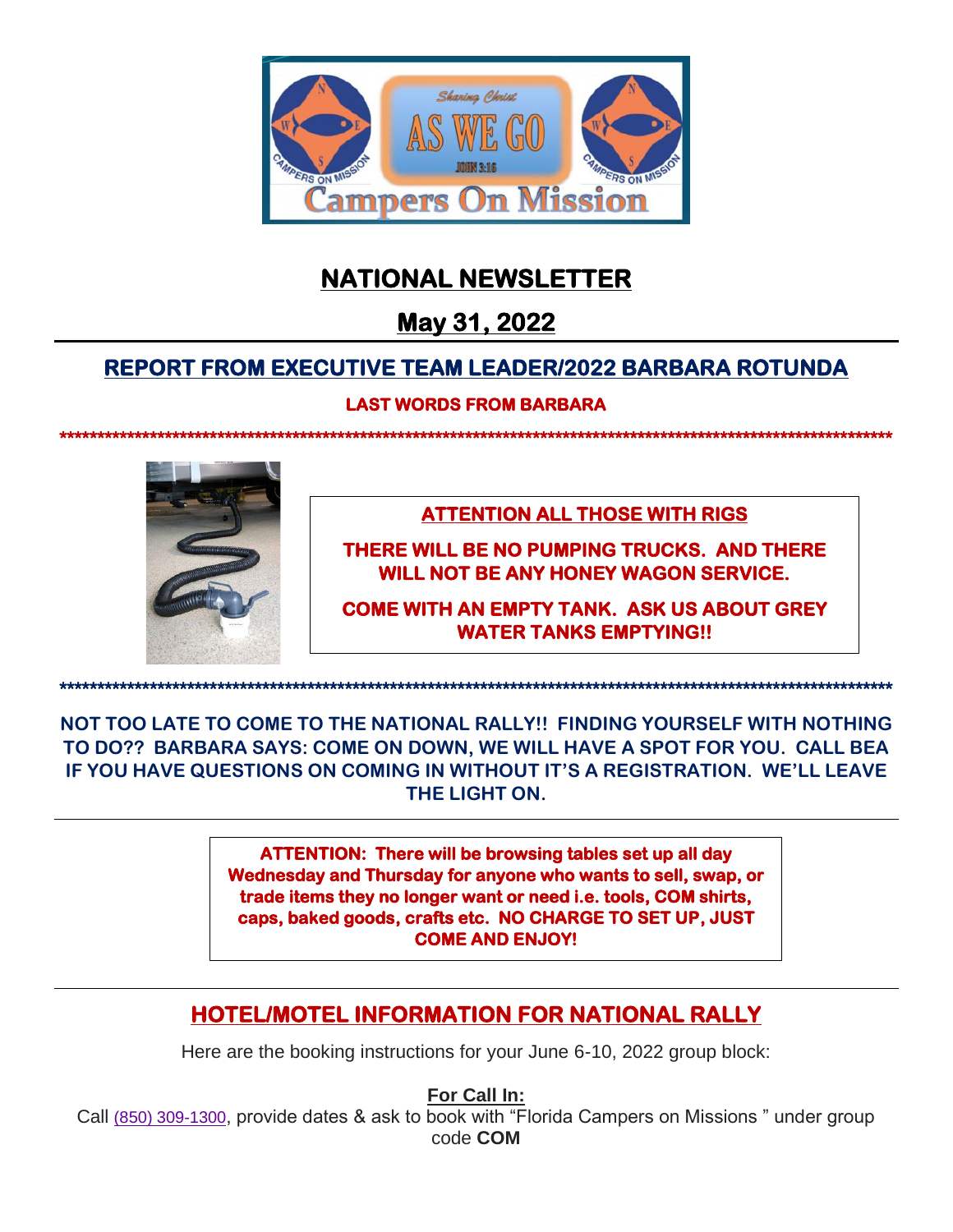

# **NATIONAL NEWSLETTER**

# **May 31, 2022**

# **REPORT FROM EXECUTIVE TEAM LEADER/2022 BARBARA ROTUNDA**

# **LAST WORDS FROM BARBARA**

**\*\*\*\*\*\*\*\*\*\*\*\*\*\*\*\*\*\*\*\*\*\*\*\*\*\*\*\*\*\*\*\*\*\*\*\*\*\*\*\*\*\*\*\*\*\*\*\*\*\*\*\*\*\*\*\*\*\*\*\*\*\*\*\*\*\*\*\*\*\*\*\*\*\*\*\*\*\*\*\*\*\*\*\*\*\*\*\*\*\*\*\*\*\*\*\*\*\*\*\*\*\*\*\*\*\*\*\*\*\*\*** 



**ATTENTION ALL THOSE WITH RIGS** 

**THERE WILL BE NO PUMPING TRUCKS. AND THERE WILL NOT BE ANY HONEY WAGON SERVICE.** 

**COME WITH AN EMPTY TANK. ASK US ABOUT GREY WATER TANKS EMPTYING!!** 

**\*\*\*\*\*\*\*\*\*\*\*\*\*\*\*\*\*\*\*\*\*\*\*\*\*\*\*\*\*\*\*\*\*\*\*\*\*\*\*\*\*\*\*\*\*\*\*\*\*\*\*\*\*\*\*\*\*\*\*\*\*\*\*\*\*\*\*\*\*\*\*\*\*\*\*\*\*\*\*\*\*\*\*\*\*\*\*\*\*\*\*\*\*\*\*\*\*\*\*\*\*\*\*\*\*\*\*\*\*\*\*** 

**NOT TOO LATE TO COME TO THE NATIONAL RALLY!! FINDING YOURSELF WITH NOTHING TO DO?? BARBARA SAYS: COME ON DOWN, WE WILL HAVE A SPOT FOR YOU. CALL BEA IF YOU HAVE QUESTIONS ON COMING IN WITHOUT IT'S A REGISTRATION. WE'LL LEAVE THE LIGHT ON.**

> **ATTENTION: There will be browsing tables set up all day Wednesday and Thursday for anyone who wants to sell, swap, or trade items they no longer want or need i.e. tools, COM shirts, caps, baked goods, crafts etc. NO CHARGE TO SET UP, JUST COME AND ENJOY!**

# **HOTEL/MOTEL INFORMATION FOR NATIONAL RALLY**

Here are the booking instructions for your June 6-10, 2022 group block:

**For Call In:**

Call [\(850\) 309-1300](https://nam02.safelinks.protection.outlook.com/?url=https%3A%2F%2Fwww.google.com%2Fsearch%3Fq%3Dhampton%2Binn%2Btallahassee%2Bcentral%26oq%3Dhamp%26aqs%3Dchrome.0.35i39i355i395j46i39i175i199i395j69i57j0i67i395j0i20i263i395i433j69i60j69i61j69i60.1018j1j7%26sourceid%3Dchrome%26ie%3DUTF-8&data=04%7C01%7CRiley.Slay%40hilton.com%7C49b56eb2d7f1447e39d808d9d50e3f11%7C660292d2cfd54a3db7a7e8f7ee458a0a%7C0%7C0%7C637775079450912026%7CUnknown%7CTWFpbGZsb3d8eyJWIjoiMC4wLjAwMDAiLCJQIjoiV2luMzIiLCJBTiI6Ik1haWwiLCJXVCI6Mn0%3D%7C3000&sdata=a%2F%2FISPE8ZNSyvcUMeVtPL1Zo8k3ANxStSAND%2B9737pQ%3D&reserved=0), provide dates & ask to book with "Florida Campers on Missions " under group code **COM**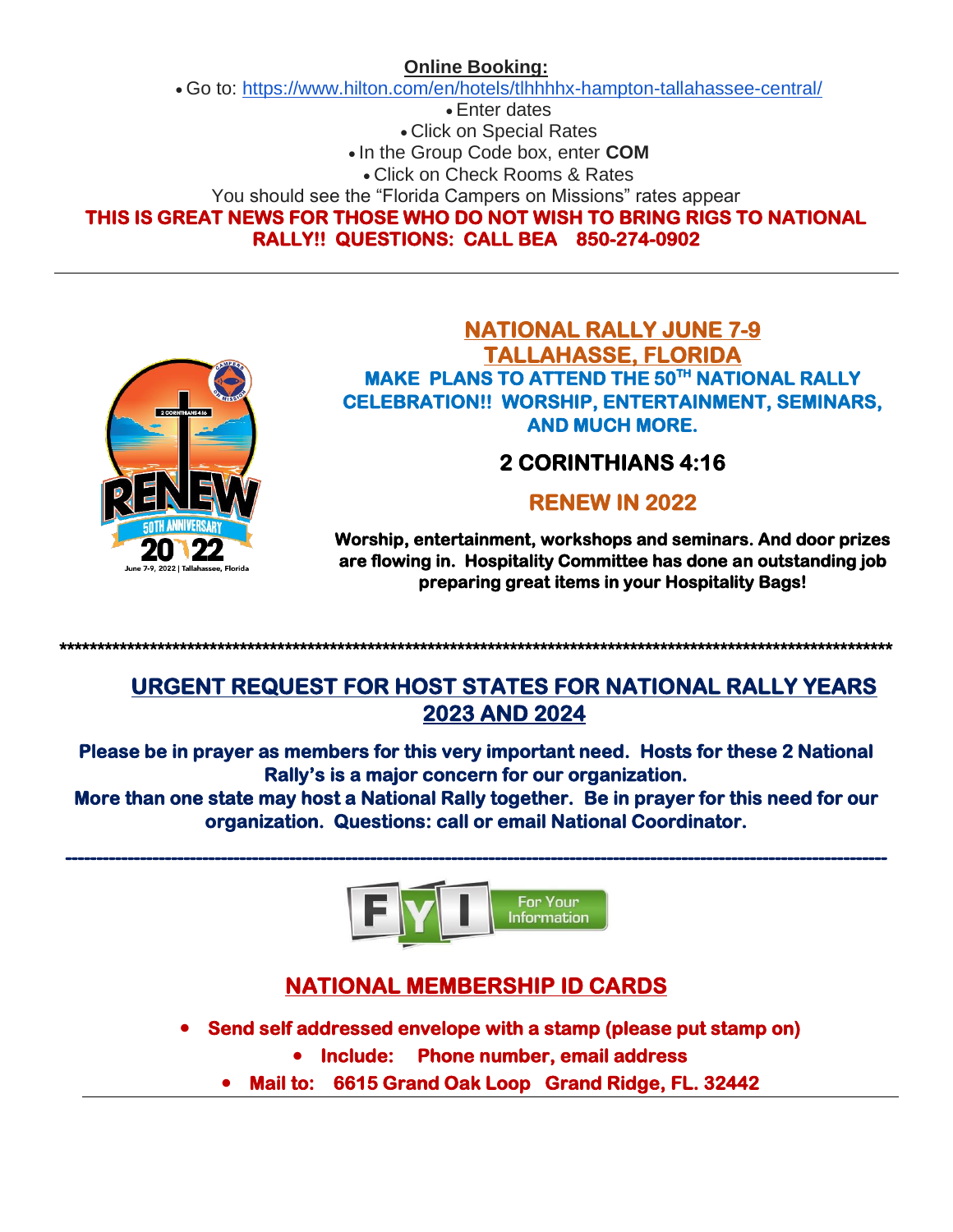# **Online Booking:**

• Go to: <https://www.hilton.com/en/hotels/tlhhhhx-hampton-tallahassee-central/>

• Enter dates

• Click on Special Rates

• In the Group Code box, enter **COM**

• Click on Check Rooms & Rates

You should see the "Florida Campers on Missions" rates appear

**THIS IS GREAT NEWS FOR THOSE WHO DO NOT WISH TO BRING RIGS TO NATIONAL RALLY!! QUESTIONS: CALL BEA 850-274-0902** 



# **NATIONAL RALLY JUNE 7-9 TALLAHASSE, FLORIDA MAKE PLANS TO ATTEND THE 50TH NATIONAL RALLY CELEBRATION!! WORSHIP, ENTERTAINMENT, SEMINARS, AND MUCH MORE.**

# **2 CORINTHIANS 4:16**

# **RENEW IN 2022**

**Worship, entertainment, workshops and seminars. And door prizes are flowing in. Hospitality Committee has done an outstanding job preparing great items in your Hospitality Bags!** 

**URGENT REQUEST FOR HOST STATES FOR NATIONAL RALLY YEARS 2023 AND 2024** 

**Please be in prayer as members for this very important need. Hosts for these 2 National Rally's is a major concern for our organization.** 

**\*\*\*\*\*\*\*\*\*\*\*\*\*\*\*\*\*\*\*\*\*\*\*\*\*\*\*\*\*\*\*\*\*\*\*\*\*\*\*\*\*\*\*\*\*\*\*\*\*\*\*\*\*\*\*\*\*\*\*\*\*\*\*\*\*\*\*\*\*\*\*\*\*\*\*\*\*\*\*\*\*\*\*\*\*\*\*\*\*\*\*\*\*\*\*\*\*\*\*\*\*\*\*\*\*\*\*\*\*\*\*** 

**More than one state may host a National Rally together. Be in prayer for this need for our organization. Questions: call or email National Coordinator.** 



# **NATIONAL MEMBERSHIP ID CARDS**

- **Send self addressed envelope with a stamp (please put stamp on)** 
	- **Include: Phone number, email address**
	- **Mail to: 6615 Grand Oak Loop Grand Ridge, FL. 32442**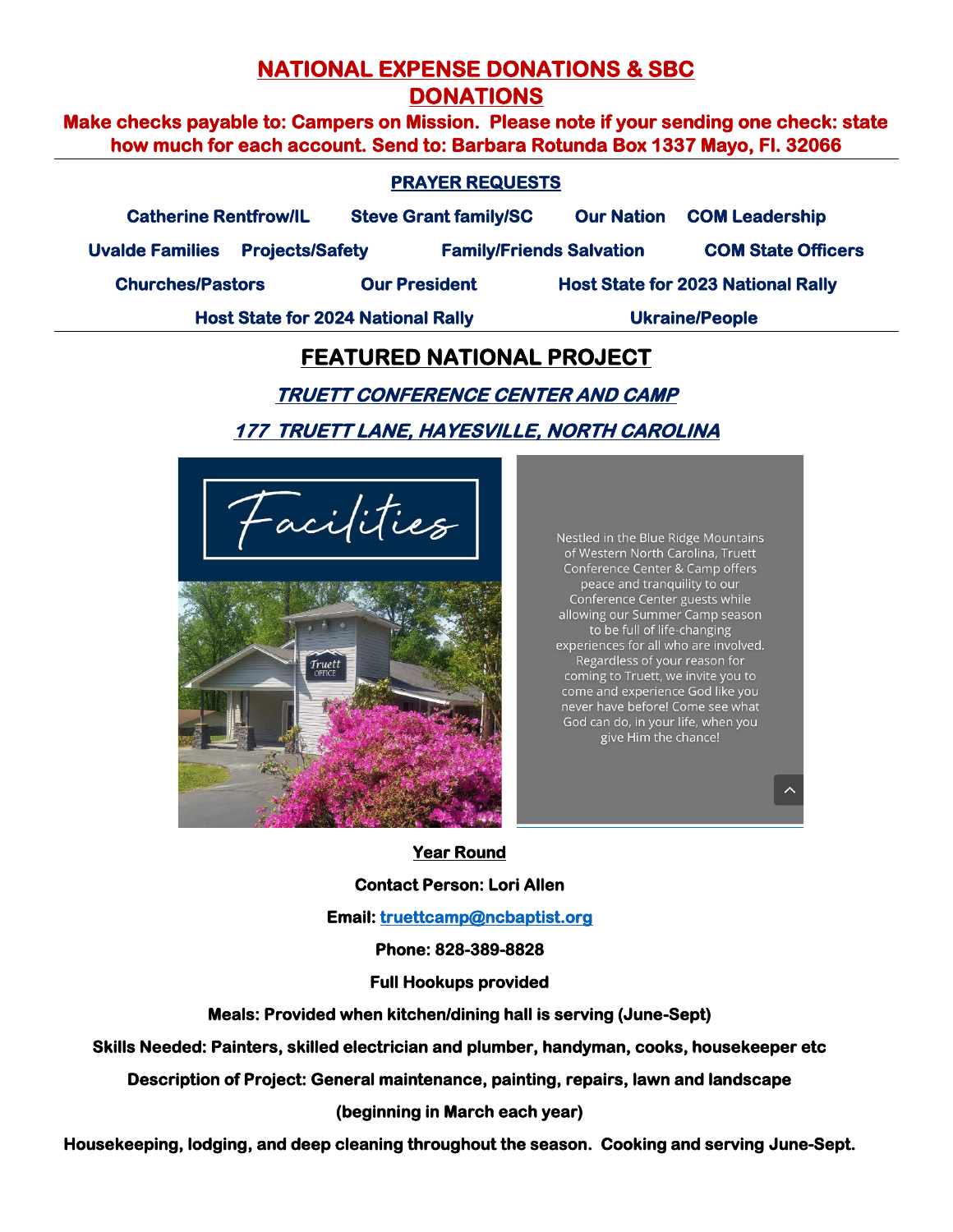# **NATIONAL EXPENSE DONATIONS & SBC DONATIONS**

**Make checks payable to: Campers on Mission. Please note if your sending one check: state how much for each account. Send to: Barbara Rotunda Box 1337 Mayo, Fl. 32066** 

## **PRAYER REQUESTS**

**Catherine Rentfrow/IL Steve Grant family/SC Our Nation COM Leadership** 

**Uvalde Families Projects/Safety Family/Friends Salvation COM State Officers** 

**Churches/Pastors Our President Host State for 2023 National Rally** 

**Host State for 2024 National Rally <b>Washing** Ukraine/People

# **FEATURED NATIONAL PROJECT**

# **TRUETT CONFERENCE CENTER AND CAMP 177 TRUETT LANE, HAYESVILLE, NORTH CAROLINA**

acifities



Nestled in the Blue Ridge Mountains of Western North Carolina, Truett Conference Center & Camp offers peace and tranquility to our Conference Center guests while allowing our Summer Camp season to be full of life-changing experiences for all who are involved. Regardless of your reason for coming to Truett, we invite you to come and experience God like you<br>never have before! Come see what God can do, in your life, when you give Him the chance!

#### **Year Round**

**Contact Person: Lori Allen** 

**Email: truettcamp@ncbaptist.org** 

### **Phone: 828-389-8828**

**Full Hookups provided** 

**Meals: Provided when kitchen/dining hall is serving (June-Sept)** 

**Skills Needed: Painters, skilled electrician and plumber, handyman, cooks, housekeeper etc** 

**Description of Project: General maintenance, painting, repairs, lawn and landscape** 

**(beginning in March each year)** 

**Housekeeping, lodging, and deep cleaning throughout the season. Cooking and serving June-Sept.**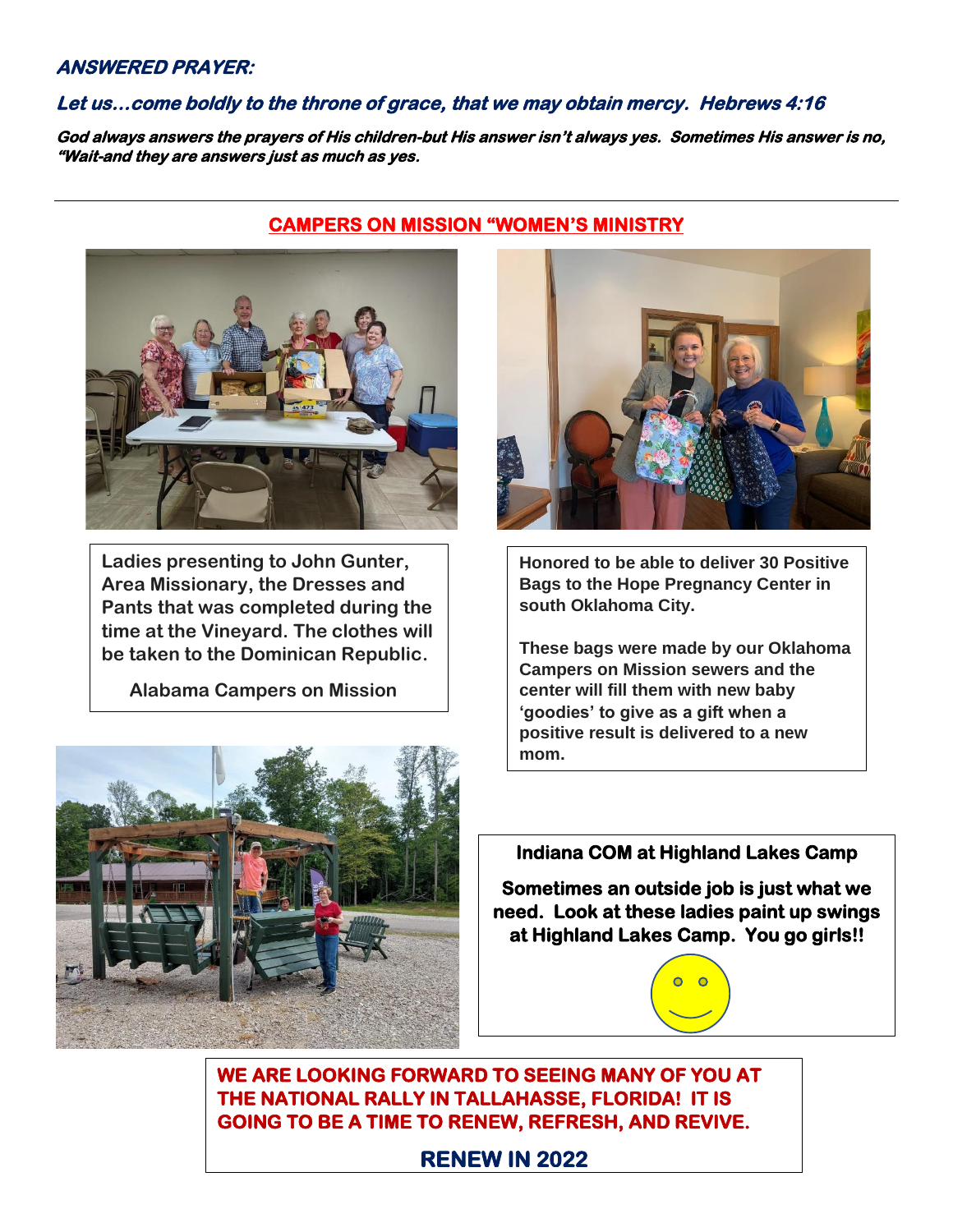### **ANSWERED PRAYER:**

## **Let us…come boldly to the throne of grace, that we may obtain mercy. Hebrews 4:16**

**God always answers the prayers of His children-but His answer isn't always yes. Sometimes His answer is no, "Wait-and they are answers just as much as yes.** 



**Ladies presenting to John Gunter, Area Missionary, the Dresses and Pants that was completed during the time at the Vineyard. The clothes will be taken to the Dominican Republic.**

 **Alabama Campers on Mission**



## **CAMPERS ON MISSION "WOMEN'S MINISTRY**



**Honored to be able to deliver 30 Positive Bags to the Hope Pregnancy Center in south Oklahoma City.**

**These bags were made by our Oklahoma Campers on Mission sewers and the center will fill them with new baby 'goodies' to give as a gift when a positive result is delivered to a new mom.**

# **Indiana COM at Highland Lakes Camp**

**Sometimes an outside job is just what we need. Look at these ladies paint up swings at Highland Lakes Camp. You go girls!!** 



**WE ARE LOOKING FORWARD TO SEEING MANY OF YOU AT THE NATIONAL RALLY IN TALLAHASSE, FLORIDA! IT IS GOING TO BE A TIME TO RENEW, REFRESH, AND REVIVE.** 

# **RENEW IN 2022**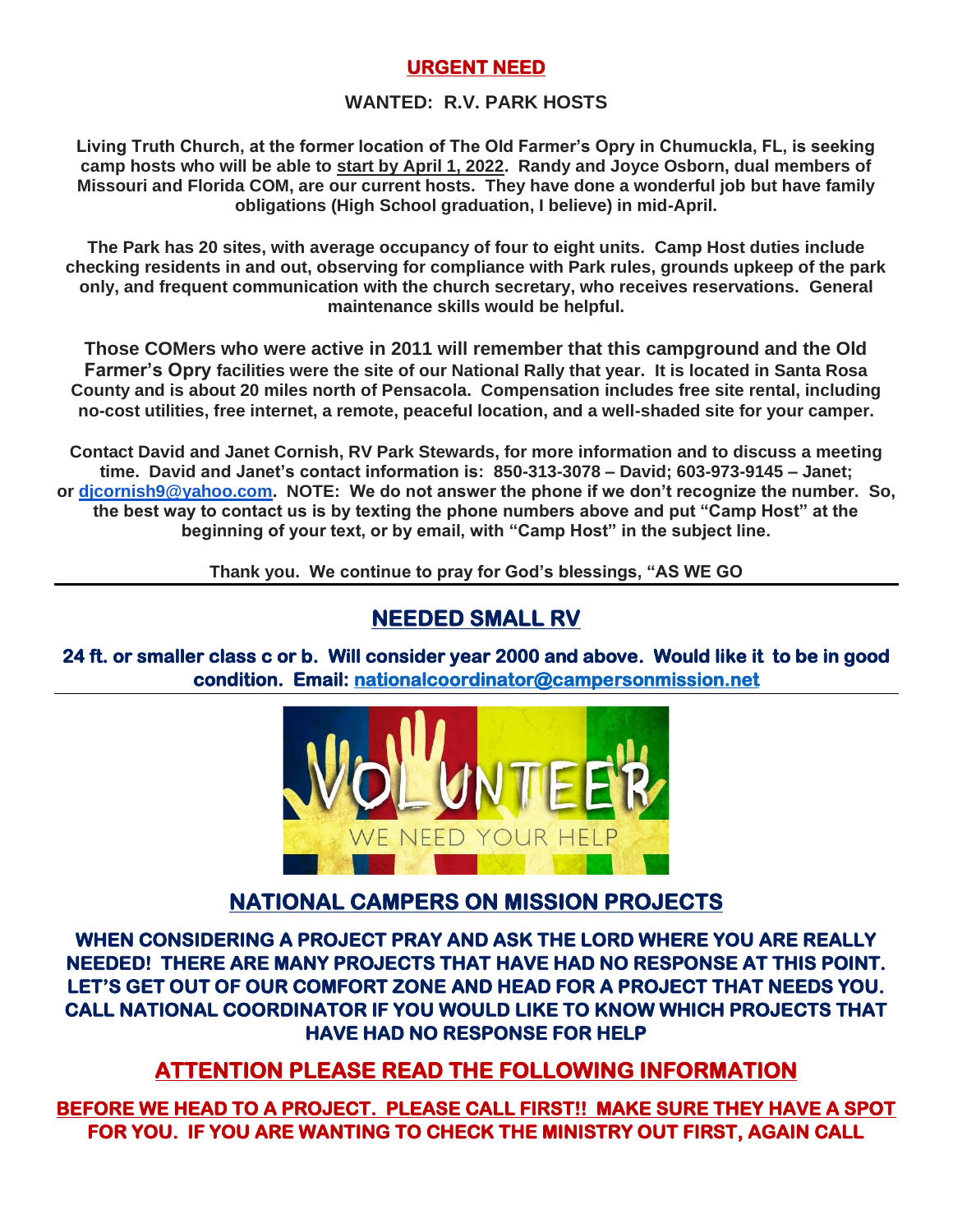# **URGENT NEED**

## **WANTED: R.V. PARK HOSTS**

**Living Truth Church, at the former location of The Old Farmer's Opry in Chumuckla, FL, is seeking camp hosts who will be able to start by April 1, 2022. Randy and Joyce Osborn, dual members of Missouri and Florida COM, are our current hosts. They have done a wonderful job but have family obligations (High School graduation, I believe) in mid-April.**

**The Park has 20 sites, with average occupancy of four to eight units. Camp Host duties include checking residents in and out, observing for compliance with Park rules, grounds upkeep of the park only, and frequent communication with the church secretary, who receives reservations. General maintenance skills would be helpful.**

**Those COMers who were active in 2011 will remember that this campground and the Old Farmer's Opry facilities were the site of our National Rally that year. It is located in Santa Rosa County and is about 20 miles north of Pensacola. Compensation includes free site rental, including no-cost utilities, free internet, a remote, peaceful location, and a well-shaded site for your camper.**

**Contact David and Janet Cornish, RV Park Stewards, for more information and to discuss a meeting time. David and Janet's contact information is: 850-313-3078 – David; 603-973-9145 – Janet; or [djcornish9@yahoo.com.](mailto:djcornish9@yahoo.com) NOTE: We do not answer the phone if we don't recognize the number. So, the best way to contact us is by texting the phone numbers above and put "Camp Host" at the beginning of your text, or by email, with "Camp Host" in the subject line.**

**Thank you. We continue to pray for God's blessings, "AS WE GO**

# **NEEDED SMALL RV**

**24 ft. or smaller class c or b. Will consider year 2000 and above. Would like it to be in good condition. Email: [nationalcoordinator@campersonmission.net](mailto:nationalcoordinator@campersonmission.net)** 



# **NATIONAL CAMPERS ON MISSION PROJECTS**

**WHEN CONSIDERING A PROJECT PRAY AND ASK THE LORD WHERE YOU ARE REALLY NEEDED! THERE ARE MANY PROJECTS THAT HAVE HAD NO RESPONSE AT THIS POINT. LET'S GET OUT OF OUR COMFORT ZONE AND HEAD FOR A PROJECT THAT NEEDS YOU. CALL NATIONAL COORDINATOR IF YOU WOULD LIKE TO KNOW WHICH PROJECTS THAT HAVE HAD NO RESPONSE FOR HELP** 

# **ATTENTION PLEASE READ THE FOLLOWING INFORMATION**

**BEFORE WE HEAD TO A PROJECT. PLEASE CALL FIRST!! MAKE SURE THEY HAVE A SPOT FOR YOU. IF YOU ARE WANTING TO CHECK THE MINISTRY OUT FIRST, AGAIN CALL**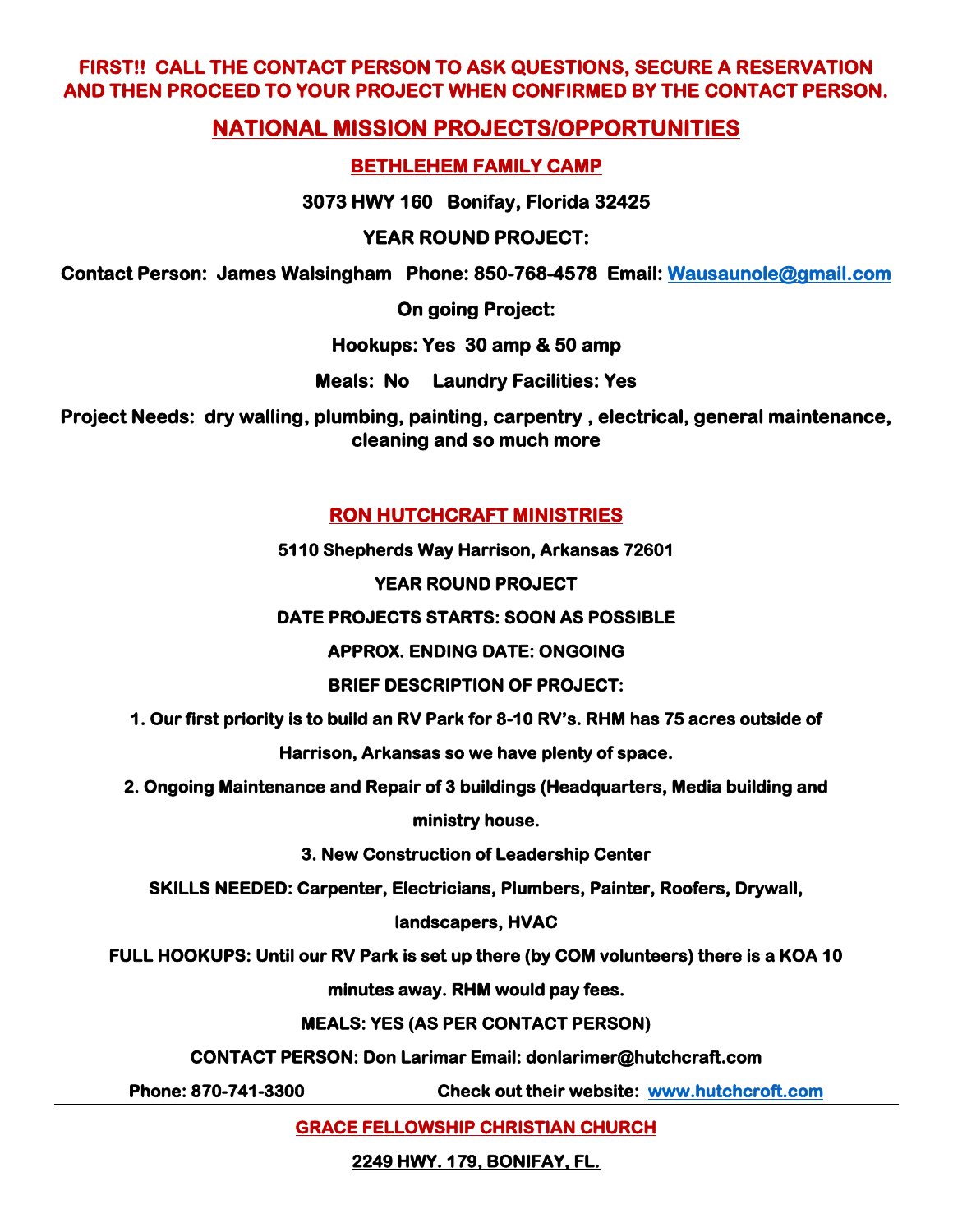# **FIRST!! CALL THE CONTACT PERSON TO ASK QUESTIONS, SECURE A RESERVATION AND THEN PROCEED TO YOUR PROJECT WHEN CONFIRMED BY THE CONTACT PERSON.**

# **NATIONAL MISSION PROJECTS/OPPORTUNITIES**

# **BETHLEHEM FAMILY CAMP**

**3073 HWY 160 Bonifay, Florida 32425** 

# **YEAR ROUND PROJECT:**

**Contact Person: James Walsingham Phone: 850-768-4578 Email: [Wausaunole@gmail.com](mailto:Wausaunole@gmail.com)** 

**On going Project:** 

**Hookups: Yes 30 amp & 50 amp** 

**Meals: No Laundry Facilities: Yes** 

**Project Needs: dry walling, plumbing, painting, carpentry , electrical, general maintenance, cleaning and so much more** 

# **RON HUTCHCRAFT MINISTRIES**

**5110 Shepherds Way Harrison, Arkansas 72601** 

# **YEAR ROUND PROJECT**

**DATE PROJECTS STARTS: SOON AS POSSIBLE** 

**APPROX. ENDING DATE: ONGOING** 

# **BRIEF DESCRIPTION OF PROJECT:**

**1. Our first priority is to build an RV Park for 8-10 RV's. RHM has 75 acres outside of** 

**Harrison, Arkansas so we have plenty of space.** 

**2. Ongoing Maintenance and Repair of 3 buildings (Headquarters, Media building and** 

**ministry house.** 

**3. New Construction of Leadership Center** 

**SKILLS NEEDED: Carpenter, Electricians, Plumbers, Painter, Roofers, Drywall,** 

# **landscapers, HVAC**

**FULL HOOKUPS: Until our RV Park is set up there (by COM volunteers) there is a KOA 10** 

**minutes away. RHM would pay fees.** 

# **MEALS: YES (AS PER CONTACT PERSON)**

**CONTACT PERSON: Don Larimar Email: donlarimer@hutchcraft.com** 

**Phone: 870-741-3300 Check out their website: [www.hutchcroft.com](http://www.hutchcroft.com/)** 

**GRACE FELLOWSHIP CHRISTIAN CHURCH** 

**2249 HWY. 179, BONIFAY, FL.**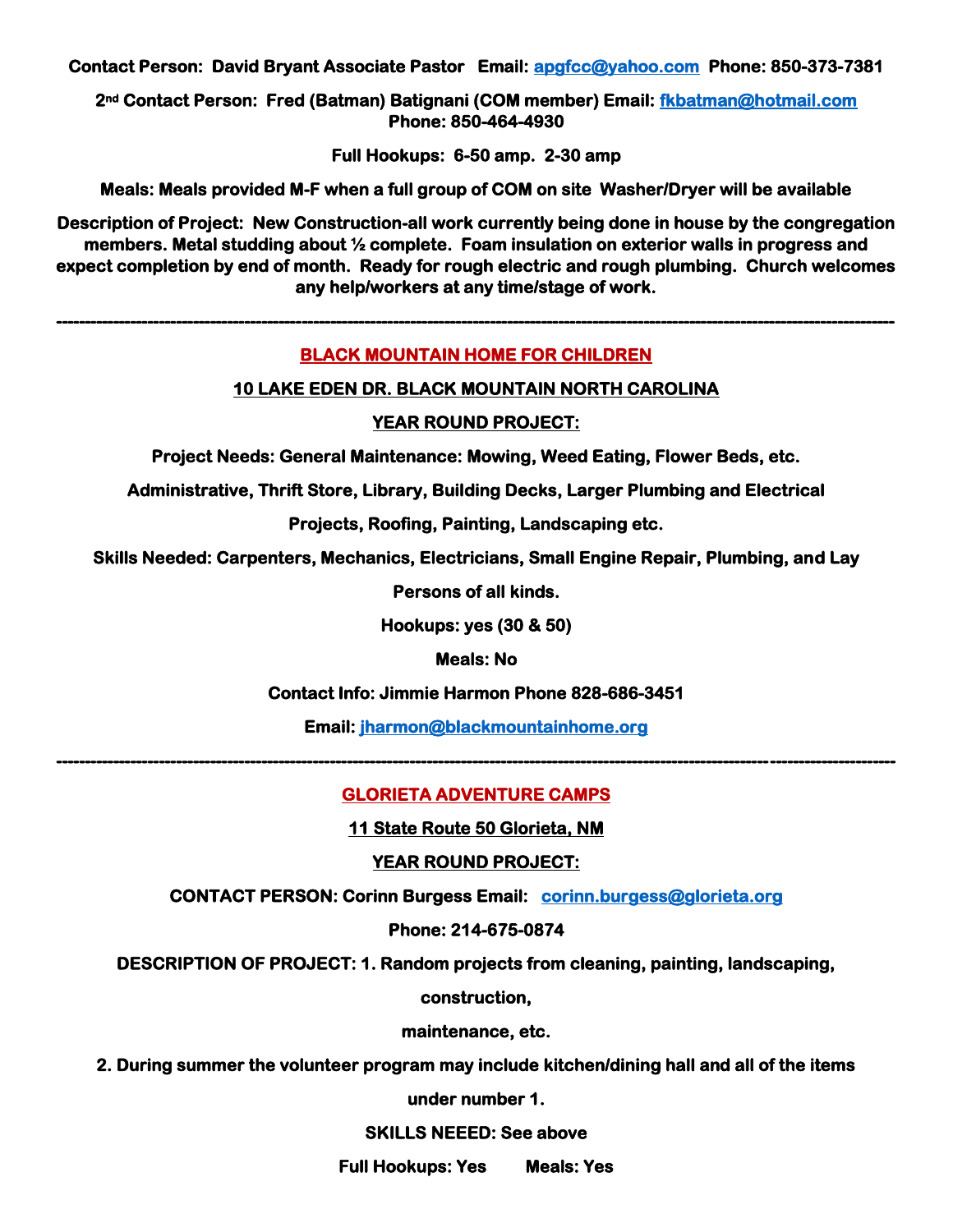**Contact Person: David Bryant Associate Pastor Email: [apgfcc@yahoo.com](mailto:apgfcc@yahoo.com) Phone: 850-373-7381** 

**2nd Contact Person: Fred (Batman) Batignani (COM member) Email: [fkbatman@hotmail.com](mailto:fkbatman@hotmail.com)  Phone: 850-464-4930** 

**Full Hookups: 6-50 amp. 2-30 amp** 

**Meals: Meals provided M-F when a full group of COM on site Washer/Dryer will be available** 

**Description of Project: New Construction-all work currently being done in house by the congregation members. Metal studding about ½ complete. Foam insulation on exterior walls in progress and expect completion by end of month. Ready for rough electric and rough plumbing. Church welcomes any help/workers at any time/stage of work.** 

#### **BLACK MOUNTAIN HOME FOR CHILDREN**

**---------------------------------------------------------------------------------------------------------------------------------------------------** 

#### **10 LAKE EDEN DR. BLACK MOUNTAIN NORTH CAROLINA**

#### **YEAR ROUND PROJECT:**

**Project Needs: General Maintenance: Mowing, Weed Eating, Flower Beds, etc.** 

**Administrative, Thrift Store, Library, Building Decks, Larger Plumbing and Electrical** 

**Projects, Roofing, Painting, Landscaping etc.** 

**Skills Needed: Carpenters, Mechanics, Electricians, Small Engine Repair, Plumbing, and Lay** 

**Persons of all kinds.** 

**Hookups: yes (30 & 50)** 

**Meals: No** 

**Contact Info: Jimmie Harmon Phone 828-686-3451** 

**Email: [jharmon@blackmountainhome.org](mailto:jharmon@blackmountainhome.org)** 

#### **GLORIETA ADVENTURE CAMPS**

**---------------------------------------------------------------------------------------------------------------------------------------------------** 

**11 State Route 50 Glorieta, NM** 

#### **YEAR ROUND PROJECT:**

**CONTACT PERSON: Corinn Burgess Email: [corinn.burgess@glorieta.org](mailto:corinn.burgess@glorieta.org)** 

#### **Phone: 214-675-0874**

**DESCRIPTION OF PROJECT: 1. Random projects from cleaning, painting, landscaping,** 

**construction,** 

**maintenance, etc.** 

**2. During summer the volunteer program may include kitchen/dining hall and all of the items** 

**under number 1.** 

#### **SKILLS NEEED: See above**

**Full Hookups: Yes Meals: Yes**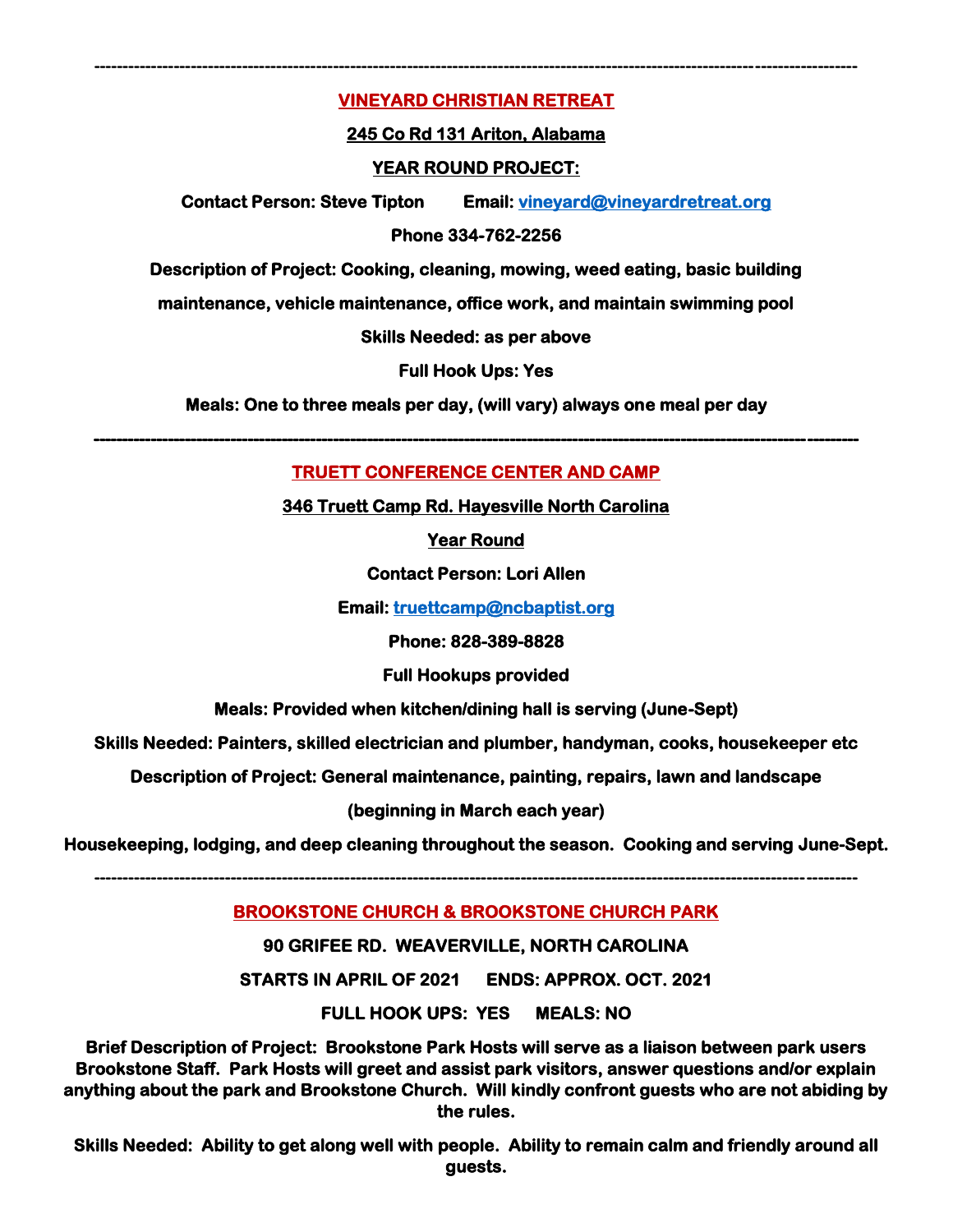## **VINEYARD CHRISTIAN RETREAT**

**--------------------------------------------------------------------------------------------------------------------------------------**

#### **245 Co Rd 131 Ariton, Alabama**

#### **YEAR ROUND PROJECT:**

**Contact Person: Steve Tipton Email: [vineyard@vineyardretreat.org](mailto:vineyard@vineyardretreat.org)** 

#### **Phone 334-762-2256**

**Description of Project: Cooking, cleaning, mowing, weed eating, basic building** 

**maintenance, vehicle maintenance, office work, and maintain swimming pool** 

#### **Skills Needed: as per above**

**Full Hook Ups: Yes** 

**Meals: One to three meals per day, (will vary) always one meal per day** 

### **TRUETT CONFERENCE CENTER AND CAMP**

**--------------------------------------------------------------------------------------------------------------------------------------** 

**346 Truett Camp Rd. Hayesville North Carolina** 

**Year Round** 

**Contact Person: Lori Allen** 

**Email: [truettcamp@ncbaptist.org](mailto:truettcamp@ncbaptist.org)** 

**Phone: 828-389-8828** 

**Full Hookups provided** 

**Meals: Provided when kitchen/dining hall is serving (June-Sept)** 

**Skills Needed: Painters, skilled electrician and plumber, handyman, cooks, housekeeper etc** 

**Description of Project: General maintenance, painting, repairs, lawn and landscape** 

**(beginning in March each year)** 

**Housekeeping, lodging, and deep cleaning throughout the season. Cooking and serving June-Sept.** 

**--------------------------------------------------------------------------------------------------------------------------------------**

#### **BROOKSTONE CHURCH & BROOKSTONE CHURCH PARK**

**90 GRIFEE RD. WEAVERVILLE, NORTH CAROLINA** 

**STARTS IN APRIL OF 2021 ENDS: APPROX. OCT. 2021** 

**FULL HOOK UPS: YES MEALS: NO** 

**Brief Description of Project: Brookstone Park Hosts will serve as a liaison between park users Brookstone Staff. Park Hosts will greet and assist park visitors, answer questions and/or explain anything about the park and Brookstone Church. Will kindly confront guests who are not abiding by the rules.** 

**Skills Needed: Ability to get along well with people. Ability to remain calm and friendly around all guests.**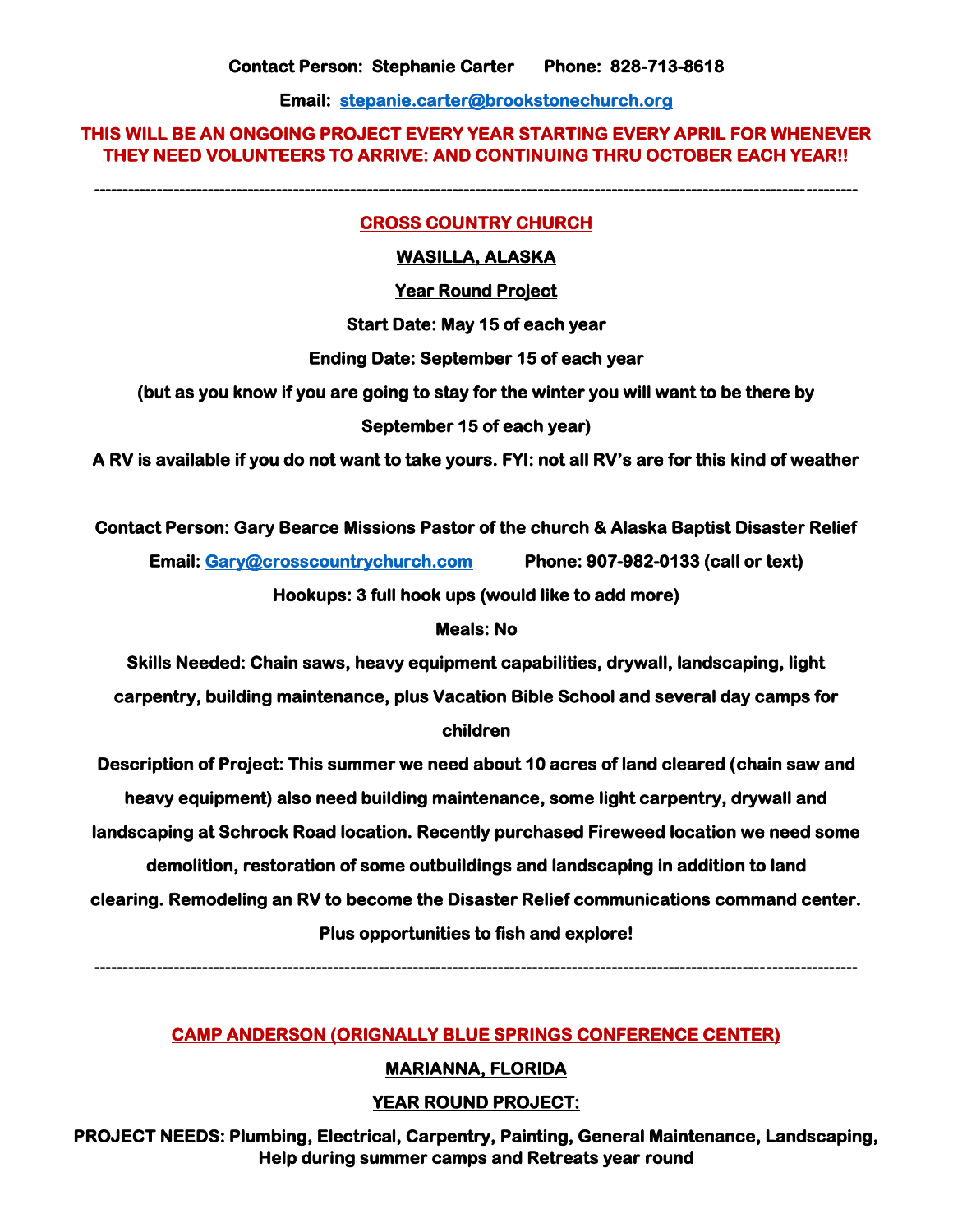**Email: [stepanie.carter@brookstonechurch.org](mailto:stepanie.carter@brookstonechurch.org)** 

#### **THIS WILL BE AN ONGOING PROJECT EVERY YEAR STARTING EVERY APRIL FOR WHENEVER THEY NEED VOLUNTEERS TO ARRIVE: AND CONTINUING THRU OCTOBER EACH YEAR!!**

**--------------------------------------------------------------------------------------------------------------------------------------**

#### **CROSS COUNTRY CHURCH**

#### **WASILLA, ALASKA**

#### **Year Round Project**

**Start Date: May 15 of each year** 

#### **Ending Date: September 15 of each year**

**(but as you know if you are going to stay for the winter you will want to be there by** 

#### **September 15 of each year)**

**A RV is available if you do not want to take yours. FYI: not all RV's are for this kind of weather** 

#### **Contact Person: Gary Bearce Missions Pastor of the church & Alaska Baptist Disaster Relief**

**Email[: Gary@crosscountrychurch.com](mailto:Gary@crosscountrychurch.com) Phone: 907-982-0133 (call or text)** 

**Hookups: 3 full hook ups (would like to add more)** 

#### **Meals: No**

**Skills Needed: Chain saws, heavy equipment capabilities, drywall, landscaping, light carpentry, building maintenance, plus Vacation Bible School and several day camps for children** 

# **Description of Project: This summer we need about 10 acres of land cleared (chain saw and heavy equipment) also need building maintenance, some light carpentry, drywall and landscaping at Schrock Road location. Recently purchased Fireweed location we need some demolition, restoration of some outbuildings and landscaping in addition to land**

**clearing. Remodeling an RV to become the Disaster Relief communications command center.** 

### **Plus opportunities to fish and explore!**

**--------------------------------------------------------------------------------------------------------------------------------------**

# **CAMP ANDERSON (ORIGNALLY BLUE SPRINGS CONFERENCE CENTER)**

### **MARIANNA, FLORIDA**

# **YEAR ROUND PROJECT:**

**PROJECT NEEDS: Plumbing, Electrical, Carpentry, Painting, General Maintenance, Landscaping, Help during summer camps and Retreats year round**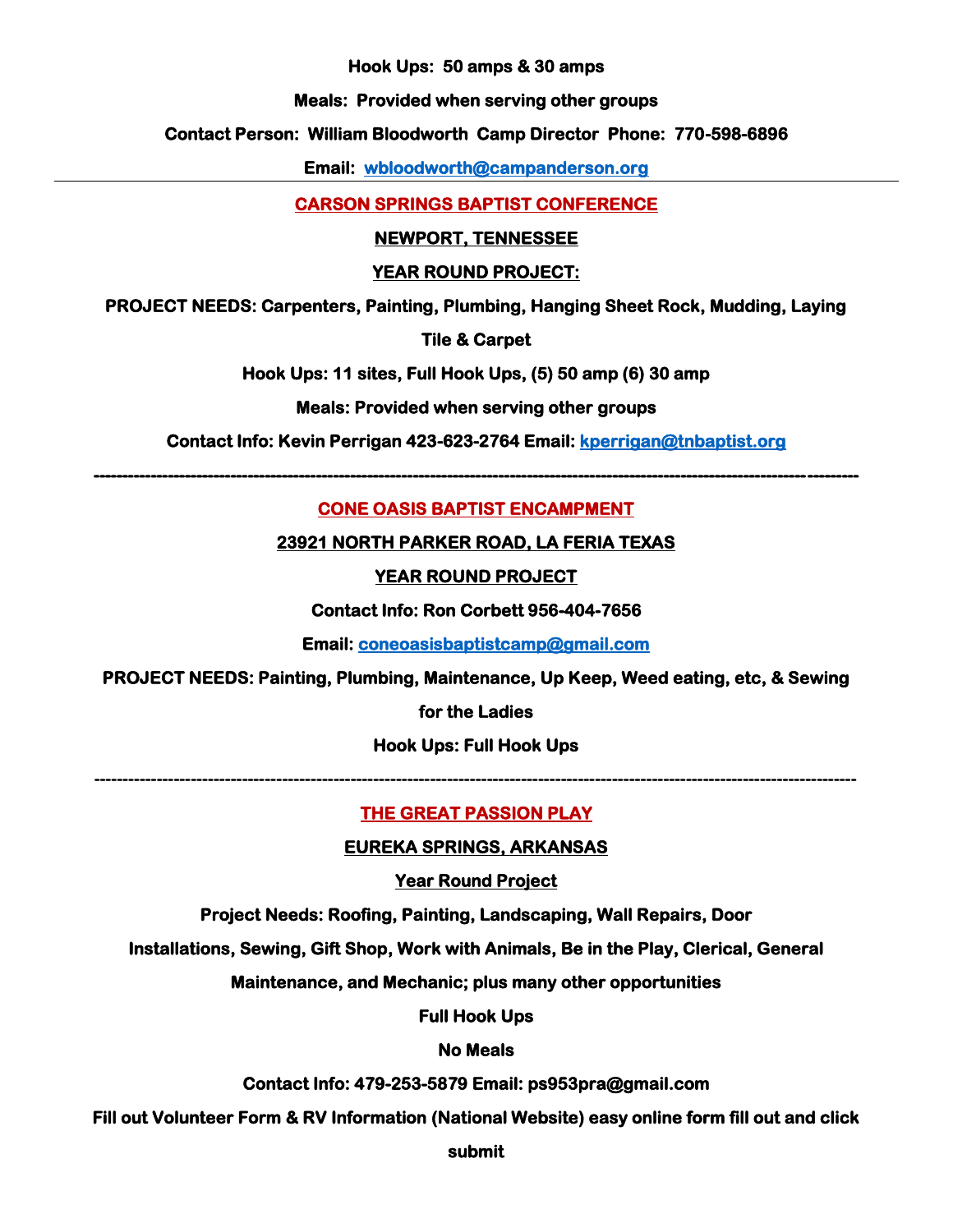**Hook Ups: 50 amps & 30 amps** 

**Meals: Provided when serving other groups** 

**Contact Person: William Bloodworth Camp Director Phone: 770-598-6896** 

**Email: [wbloodworth@campanderson.org](mailto:wbloodworth@campanderson.org)** 

**CARSON SPRINGS BAPTIST CONFERENCE**

### **NEWPORT, TENNESSEE**

## **YEAR ROUND PROJECT:**

**PROJECT NEEDS: Carpenters, Painting, Plumbing, Hanging Sheet Rock, Mudding, Laying** 

**Tile & Carpet** 

**Hook Ups: 11 sites, Full Hook Ups, (5) 50 amp (6) 30 amp** 

## **Meals: Provided when serving other groups**

**Contact Info: Kevin Perrigan 423-623-2764 Email: [kperrigan@tnbaptist.org](mailto:kperrigan@tnbaptist.org)** 

**--------------------------------------------------------------------------------------------------------------------------------------** 

# **CONE OASIS BAPTIST ENCAMPMENT**

**23921 NORTH PARKER ROAD, LA FERIA TEXAS** 

# **YEAR ROUND PROJECT**

**Contact Info: Ron Corbett 956-404-7656** 

**Email: [coneoasisbaptistcamp@gmail.com](mailto:coneoasisbaptistcamp@gmail.com)** 

**PROJECT NEEDS: Painting, Plumbing, Maintenance, Up Keep, Weed eating, etc, & Sewing** 

**for the Ladies** 

**Hook Ups: Full Hook Ups** 

**--------------------------------------------------------------------------------------------------------------------------------------**

# **THE GREAT PASSION PLAY**

# **EUREKA SPRINGS, ARKANSAS**

**Year Round Project** 

**Project Needs: Roofing, Painting, Landscaping, Wall Repairs, Door** 

**Installations, Sewing, Gift Shop, Work with Animals, Be in the Play, Clerical, General** 

**Maintenance, and Mechanic; plus many other opportunities** 

**Full Hook Ups** 

# **No Meals**

**Contact Info: 479-253-5879 Email: ps953pra@gmail.com** 

**Fill out Volunteer Form & RV Information (National Website) easy online form fill out and click** 

**submit**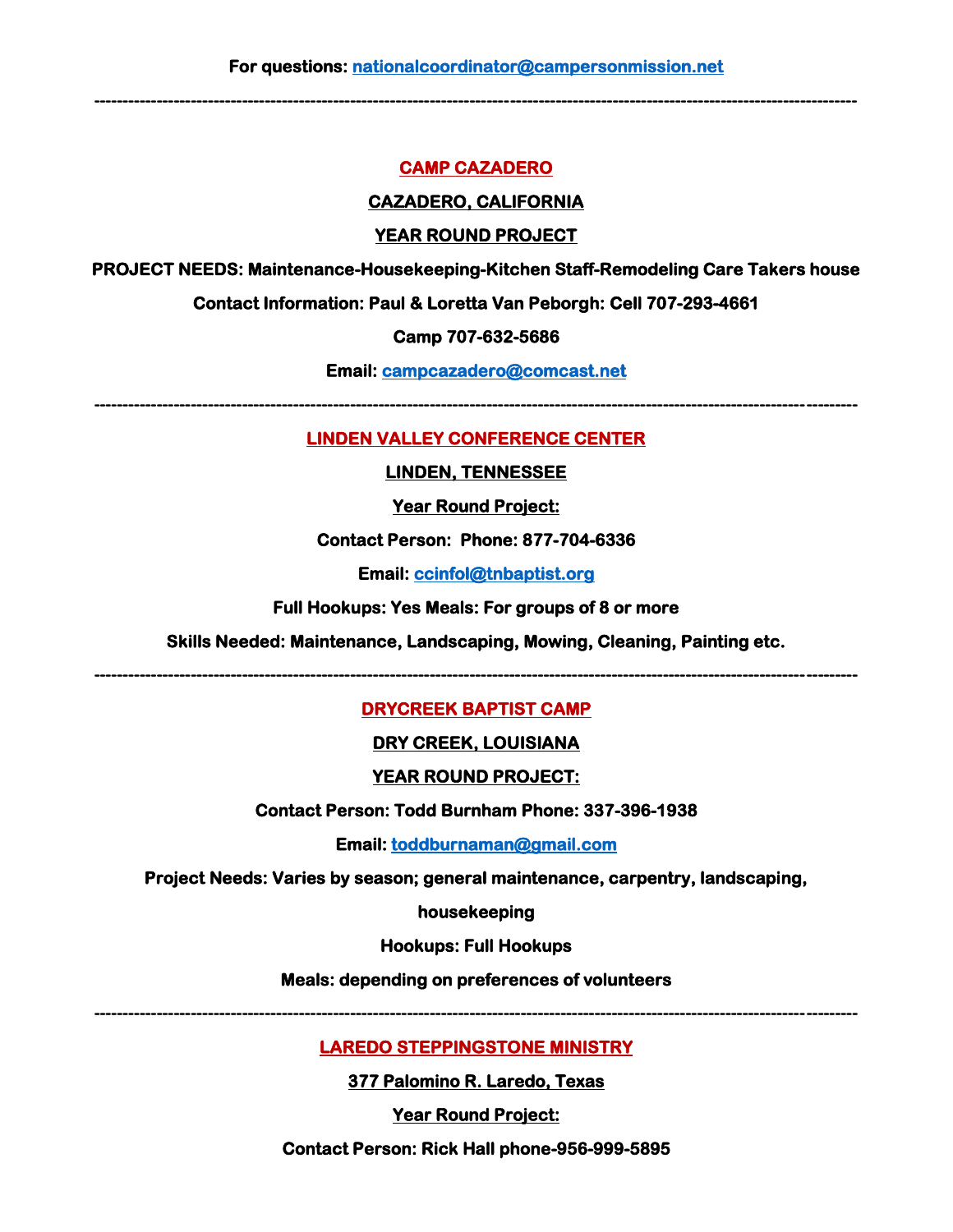**--------------------------------------------------------------------------------------------------------------------------------------**

#### **CAMP CAZADERO**

#### **CAZADERO, CALIFORNIA**

#### **YEAR ROUND PROJECT**

**PROJECT NEEDS: Maintenance-Housekeeping-Kitchen Staff-Remodeling Care Takers house** 

**Contact Information: Paul & Loretta Van Peborgh: Cell 707-293-4661** 

#### **Camp 707-632-5686**

**Email: [campcazadero@comcast.net](mailto:campcazadero@comcast.net)** 

**--------------------------------------------------------------------------------------------------------------------------------------**

#### **LINDEN VALLEY CONFERENCE CENTER**

#### **LINDEN, TENNESSEE**

**Year Round Project:** 

#### **Contact Person: Phone: 877-704-6336**

**Email: [ccinfol@tnbaptist.org](mailto:ccinfol@tnbaptist.org)** 

#### **Full Hookups: Yes Meals: For groups of 8 or more**

**Skills Needed: Maintenance, Landscaping, Mowing, Cleaning, Painting etc.** 

**--------------------------------------------------------------------------------------------------------------------------------------**

### **DRYCREEK BAPTIST CAMP**

#### **DRY CREEK, LOUISIANA**

### **YEAR ROUND PROJECT:**

**Contact Person: Todd Burnham Phone: 337-396-1938** 

**Email: [toddburnaman@gmail.com](mailto:toddburnaman@gmail.com)** 

**Project Needs: Varies by season; general maintenance, carpentry, landscaping,** 

#### **housekeeping**

#### **Hookups: Full Hookups**

**Meals: depending on preferences of volunteers** 

**--------------------------------------------------------------------------------------------------------------------------------------**

#### **LAREDO STEPPINGSTONE MINISTRY**

**377 Palomino R. Laredo, Texas** 

**Year Round Project:** 

**Contact Person: Rick Hall phone-956-999-5895**